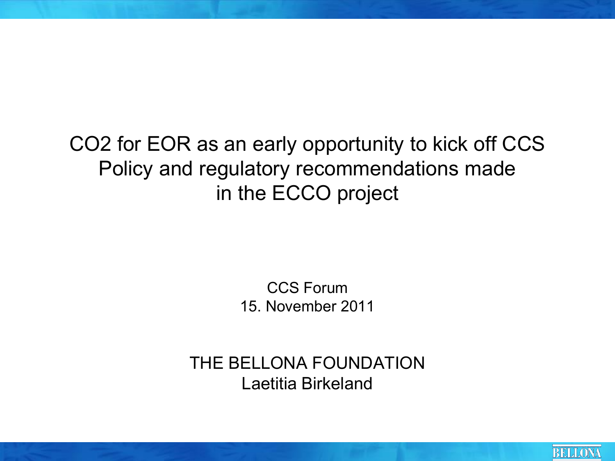#### CO2 for EOR as an early opportunity to kick off CCS Policy and regulatory recommendations made in the ECCO project

CCS Forum 15. November 2011

THE BELLONA FOUNDATION Laetitia Birkeland

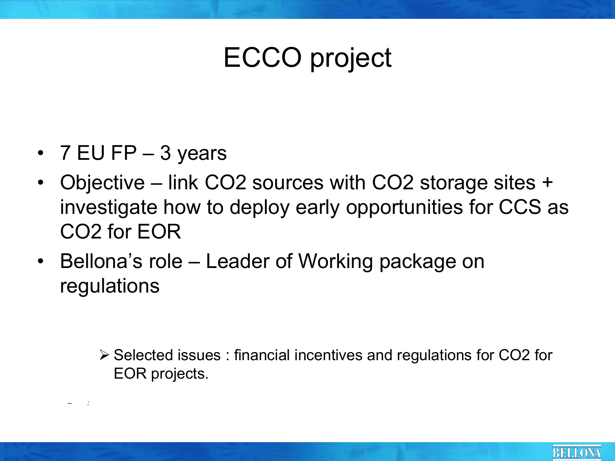## ECCO project

•  $7$  EU FP  $-$  3 years

± *:* 

- Objective link CO2 sources with CO2 storage sites + investigate how to deploy early opportunities for CCS as CO2 for EOR
- Bellona's role Leader of Working package on regulations

 $\triangleright$  Selected issues : financial incentives and regulations for CO2 for EOR projects.

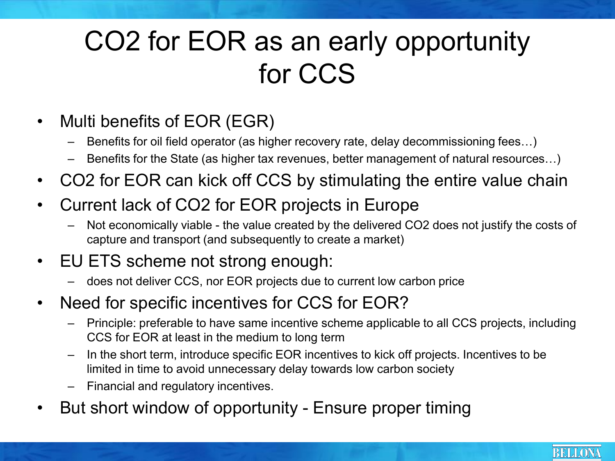#### CO2 for EOR as an early opportunity for CCS

- Multi benefits of EOR (EGR)
	- Benefits for oil field operator (as higher recovery rate, delay decommissioning fees...)
	- Benefits for the State (as higher tax revenues, better management of natural resources...)
- CO2 for EOR can kick off CCS by stimulating the entire value chain
- Current lack of CO2 for EOR projects in Europe
	- Not economically viable the value created by the delivered CO2 does not justify the costs of capture and transport (and subsequently to create a market)
- EU ETS scheme not strong enough:
	- $\frac{1}{2}$  does not deliver CCS, nor EOR projects due to current low carbon price
- Need for specific incentives for CCS for EOR?
	- ± Principle: preferable to have same incentive scheme applicable to all CCS projects, including CCS for EOR at least in the medium to long term
	- $-$  In the short term, introduce specific EOR incentives to kick off projects. Incentives to be limited in time to avoid unnecessary delay towards low carbon society
	- ± Financial and regulatory incentives.
- But short window of opportunity Ensure proper timing

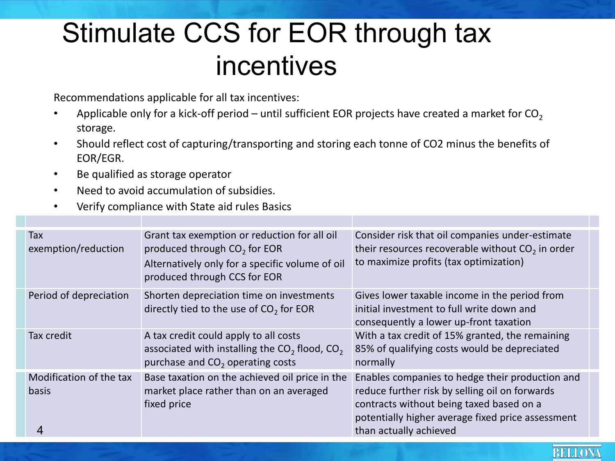### Stimulate CCS for EOR through tax incentives

Recommendations applicable for all tax incentives:

- Applicable only for a kick-off period  $-$  until sufficient EOR projects have created a market for CO<sub>2</sub> storage.
- Should reflect cost of capturing/transporting and storing each tonne of CO2 minus the benefits of EOR/EGR.
- Be qualified as storage operator
- Need to avoid accumulation of subsidies.
- Verify compliance with State aid rules Basics

| <b>Tax</b><br>exemption/reduction       | Grant tax exemption or reduction for all oil<br>produced through CO <sub>2</sub> for EOR<br>Alternatively only for a specific volume of oil<br>produced through CCS for EOR | Consider risk that oil companies under-estimate<br>their resources recoverable without $CO2$ in order<br>to maximize profits (tax optimization)                                                                              |
|-----------------------------------------|-----------------------------------------------------------------------------------------------------------------------------------------------------------------------------|------------------------------------------------------------------------------------------------------------------------------------------------------------------------------------------------------------------------------|
| Period of depreciation                  | Shorten depreciation time on investments<br>directly tied to the use of $CO2$ for EOR                                                                                       | Gives lower taxable income in the period from<br>initial investment to full write down and<br>consequently a lower up-front taxation                                                                                         |
| Tax credit                              | A tax credit could apply to all costs<br>associated with installing the $CO2$ flood, $CO2$<br>purchase and CO <sub>2</sub> operating costs                                  | With a tax credit of 15% granted, the remaining<br>85% of qualifying costs would be depreciated<br>normally                                                                                                                  |
| Modification of the tax<br><b>basis</b> | Base taxation on the achieved oil price in the<br>market place rather than on an averaged<br>fixed price                                                                    | Enables companies to hedge their production and<br>reduce further risk by selling oil on forwards<br>contracts without being taxed based on a<br>potentially higher average fixed price assessment<br>than actually achieved |

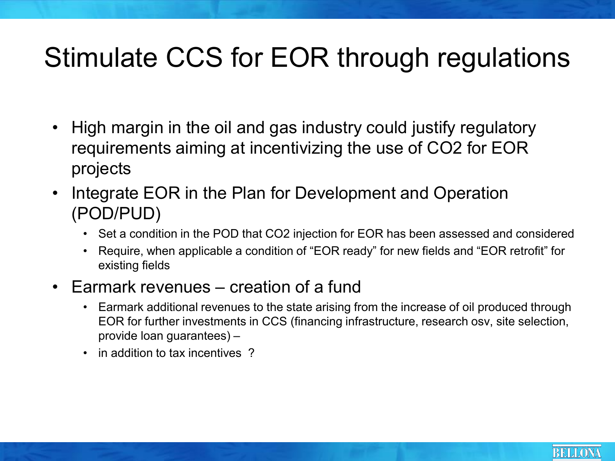### Stimulate CCS for EOR through regulations

- High margin in the oil and gas industry could justify regulatory requirements aiming at incentivizing the use of CO2 for EOR projects
- Integrate EOR in the Plan for Development and Operation (POD/PUD)
	- Set a condition in the POD that CO2 injection for EOR has been assessed and considered
	- Require, when applicable a condition of "EOR ready" for new fields and "EOR retrofit" for existing fields
- $\cdot$  Earmark revenues  $-$  creation of a fund
	- Earmark additional revenues to the state arising from the increase of oil produced through EOR for further investments in CCS (financing infrastructure, research osv, site selection,  $provide$  loan quarantees)  $-$
	- in addition to tax incentives?

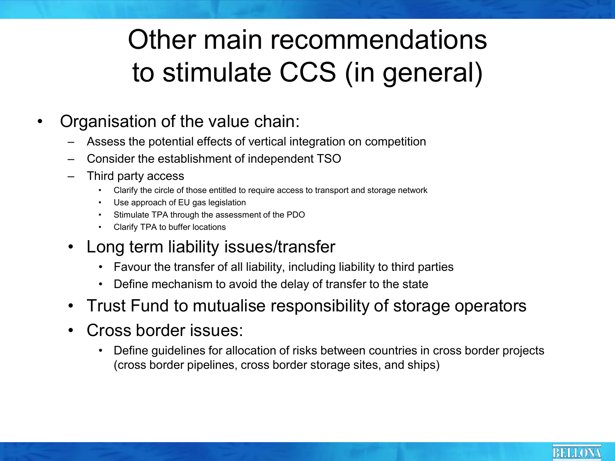### Other main recommendations to stimulate CCS (in general)

- Organisation of the value chain:
	- Assess the potential effects of vertical integration on competition
	- ± Consider the establishment of independent TSO
	- Third party access
		- Clarify the circle of those entitled to require access to transport and storage network
		- Use approach of EU gas legislation
		- Stimulate TPA through the assessment of the PDO
		- Clarify TPA to buffer locations
	- Long term liability issues/transfer
		- Favour the transfer of all liability, including liability to third parties
		- Define mechanism to avoid the delay of transfer to the state
	- Trust Fund to mutualise responsibility of storage operators
	- Cross border issues:
		- Define guidelines for allocation of risks between countries in cross border projects (cross border pipelines, cross border storage sites, and ships)